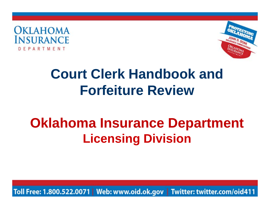



# **Court Clerk Handbook and Forfeiture Review**

# **Oklahoma Insurance Department Licensing Division**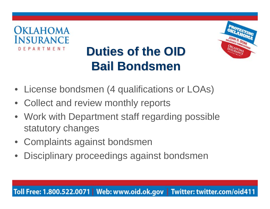



# **Duties of the OID Bail Bondsmen**

- License bondsmen (4 qualifications or LOAs)
- Collect and review monthly reports
- Work with Department staff regarding possible statutory changes
- Complaints against bondsmen
- $\bullet$ Disciplinary proceedings against bondsmen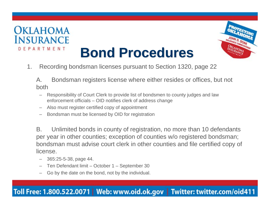



# **Bond Procedures**

1.Recording bondsman licenses pursuant to Section 1320, page 22

A. Bondsman registers license where either resides or offices, but not both

- Responsibility of Court Clerk to provide list of bondsmen to county judges and law enforcement officials – OID notifies clerk of address change
- –Also must register certified copy of appointment
- –Bondsman must be licensed by OID for registration

B. Unlimited bonds in county of registration, no more than 10 defendants per year in other counties; exception of counties w/o registered bondsman; bondsman must advise court clerk in other counties and file certified copy of license.

- 365:25-5-38, page 44.
- –Ten Defendant limit – October 1 – September 30
- Go by the date on the bond, not by the individual.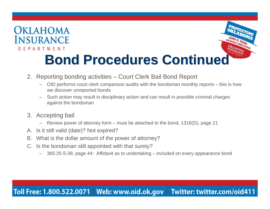



- **Bond Procedures Continued**
- 2. Reporting bonding activities Court Clerk Bail Bond Report
	- OID performs court clerk comparison audits with the bondsman monthly reports this is how we discover unreported bonds
	- – Such action may result in disciplinary action and can result in possible criminal charges against the bondsman
- 3. Accepting bail
	- Review power of attorney form must be attached to the bond, 1316(D), page 21
- A. Is it still valid (date)? Not expired?
- B. What is the dollar amount of the power of attorney?
- C. Is the bondsman still appointed with that surety?
	- 365:25-5-39, page 44: Affidavit as to undertaking included on every appearance bond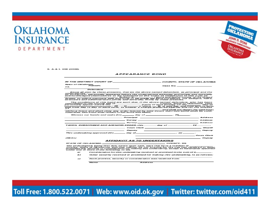

S. A.& I. 408 (2006)

**OKLAHOMA** 

**INSURANCE** 

DEPARTMENT

#### *APPEARANCE BOND*

|                         | IN THE DISTRICT COURT OF ____________________________COUNTY, STATE OF OKLAHOMA                                                                                                                                                                                                                                                             |                                                                                                                         |                                     |  |  |
|-------------------------|--------------------------------------------------------------------------------------------------------------------------------------------------------------------------------------------------------------------------------------------------------------------------------------------------------------------------------------------|-------------------------------------------------------------------------------------------------------------------------|-------------------------------------|--|--|
| State of Oklahoma.      | Plaintiff.                                                                                                                                                                                                                                                                                                                                 |                                                                                                                         |                                     |  |  |
| VS.                     |                                                                                                                                                                                                                                                                                                                                            |                                                                                                                         | Case No.                            |  |  |
|                         | Defendant                                                                                                                                                                                                                                                                                                                                  |                                                                                                                         |                                     |  |  |
|                         |                                                                                                                                                                                                                                                                                                                                            |                                                                                                                         |                                     |  |  |
| undersigned ______      | Know all men by these presents, that we the above named defendant, as principal and the                                                                                                                                                                                                                                                    |                                                                                                                         |                                     |  |  |
|                         | as surety(les), personally appeared before the undersigned authority and jointly and severally<br>acknowledged themselves to be indebted to the state of Oklahoma in the sum of                                                                                                                                                            |                                                                                                                         |                                     |  |  |
|                         | States, to which payment well and truly to be made we bind ourselves, our assigns, heirs,<br>executors and administrators jointly and severally, firmly by these presents.                                                                                                                                                                 |                                                                                                                         |                                     |  |  |
|                         | The conditions of this bond are such that, if the above named defendant, who has been                                                                                                                                                                                                                                                      |                                                                                                                         |                                     |  |  |
|                         |                                                                                                                                                                                                                                                                                                                                            |                                                                                                                         |                                     |  |  |
|                         | and from day to day of each term, to answer a charge preferred against him for the offense                                                                                                                                                                                                                                                 |                                                                                                                         |                                     |  |  |
| $of$ and $\overline{a}$ |                                                                                                                                                                                                                                                                                                                                            |                                                                                                                         | and shall not depart the said Court |  |  |
|                         | otherwise, this bond shall remain in full force and effect,                                                                                                                                                                                                                                                                                |                                                                                                                         |                                     |  |  |
|                         | Witness our hands and seals this and day of the case of the control of the control of the control of the control of the control of the control of the control of the control of the control of the control of the control of t                                                                                                             |                                                                                                                         |                                     |  |  |
|                         | <b>Principal</b> and the contract of the contract of the contract of the contract of the contract of the contract of the contract of the contract of the contract of the contract of the contract of the contract of the contract o                                                                                                        |                                                                                                                         |                                     |  |  |
|                         |                                                                                                                                                                                                                                                                                                                                            |                                                                                                                         |                                     |  |  |
|                         | <b>Surety</b> Survey Survey Survey Survey Survey Survey Survey Survey Survey Survey Survey Survey Survey Survey Survey Survey Survey Survey Survey Survey Survey Survey Survey Survey Survey Survey Survey Survey Survey Survey Sur                                                                                                        |                                                                                                                         |                                     |  |  |
|                         | TAKEN, SUBSCRIBED AND ACKNOWLEDGED, this ________ day of ______________, 20 ________.                                                                                                                                                                                                                                                      |                                                                                                                         |                                     |  |  |
|                         |                                                                                                                                                                                                                                                                                                                                            | <b>Example: Court Clerk Constitution of the Court Clerk</b> Court Clerk Court Clerk Court Clerk Court Clerk Court Clerk |                                     |  |  |
|                         |                                                                                                                                                                                                                                                                                                                                            | Deputy Deputy                                                                                                           |                                     |  |  |
|                         |                                                                                                                                                                                                                                                                                                                                            |                                                                                                                         |                                     |  |  |
|                         |                                                                                                                                                                                                                                                                                                                                            |                                                                                                                         | <b>Court Clork</b>                  |  |  |
| <b><i>(SEAL)</i></b>    |                                                                                                                                                                                                                                                                                                                                            |                                                                                                                         | <b>Deputy</b>                       |  |  |
|                         |                                                                                                                                                                                                                                                                                                                                            | <b>AFFIDAVIT AS TO UNDERTAKING</b>                                                                                      |                                     |  |  |
|                         | STATE OF OKLAHOMA, COUNTY, SS.                                                                                                                                                                                                                                                                                                             |                                                                                                                         |                                     |  |  |
|                         |                                                                                                                                                                                                                                                                                                                                            |                                                                                                                         |                                     |  |  |
|                         | The undersigned, being first duly sworn upon oath, says that he is a resident of _____<br>County. State of Oklahoma, and that neither he nor anyone for his use has received or been<br>promised any security or consideration for making this undertaking, except as hereinafter specified<br>under one or more of the following, to wit. |                                                                                                                         |                                     |  |  |
|                         |                                                                                                                                                                                                                                                                                                                                            |                                                                                                                         |                                     |  |  |
| a)                      |                                                                                                                                                                                                                                                                                                                                            | Consideration for this undertaking received or promised in the sum of \$                                                |                                     |  |  |
| ь,                      |                                                                                                                                                                                                                                                                                                                                            | Other security received or promised for making this undertaking, is as follows:                                         |                                     |  |  |
| c)                      |                                                                                                                                                                                                                                                                                                                                            | Such promise, security or consideration was received from:                                                              |                                     |  |  |
|                         | Name                                                                                                                                                                                                                                                                                                                                       | Address                                                                                                                 |                                     |  |  |
|                         |                                                                                                                                                                                                                                                                                                                                            |                                                                                                                         |                                     |  |  |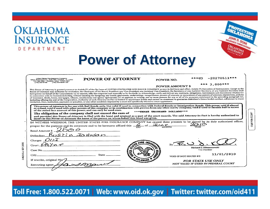| LAHOMA<br>NSURANCE                                                                                                                         |                                                                                                                                                                                                                                                                                                                                                                                                                                                                                                                                                                                                                                                                                                                                                                                                                                                                                                                                                                                                                                                                                                                                                                                                                                                                                                                                                             |                               |                                  |
|--------------------------------------------------------------------------------------------------------------------------------------------|-------------------------------------------------------------------------------------------------------------------------------------------------------------------------------------------------------------------------------------------------------------------------------------------------------------------------------------------------------------------------------------------------------------------------------------------------------------------------------------------------------------------------------------------------------------------------------------------------------------------------------------------------------------------------------------------------------------------------------------------------------------------------------------------------------------------------------------------------------------------------------------------------------------------------------------------------------------------------------------------------------------------------------------------------------------------------------------------------------------------------------------------------------------------------------------------------------------------------------------------------------------------------------------------------------------------------------------------------------------|-------------------------------|----------------------------------|
|                                                                                                                                            |                                                                                                                                                                                                                                                                                                                                                                                                                                                                                                                                                                                                                                                                                                                                                                                                                                                                                                                                                                                                                                                                                                                                                                                                                                                                                                                                                             |                               |                                  |
|                                                                                                                                            | <b>Power of Attorney</b>                                                                                                                                                                                                                                                                                                                                                                                                                                                                                                                                                                                                                                                                                                                                                                                                                                                                                                                                                                                                                                                                                                                                                                                                                                                                                                                                    |                               |                                  |
|                                                                                                                                            |                                                                                                                                                                                                                                                                                                                                                                                                                                                                                                                                                                                                                                                                                                                                                                                                                                                                                                                                                                                                                                                                                                                                                                                                                                                                                                                                                             |                               |                                  |
| United States Fire Insurance Company<br>19350 Blemmond Ave., Suite 300, Haustur, 12 / 7042<br>1935: 1938 2807 - Houston, Insura 77252-2007 | <b>POWER OF ATTORNEY</b>                                                                                                                                                                                                                                                                                                                                                                                                                                                                                                                                                                                                                                                                                                                                                                                                                                                                                                                                                                                                                                                                                                                                                                                                                                                                                                                                    | POWER NO.                     | $-20270511$ ***<br>***03         |
| $(713)$ S54-B100<br>$(713)$ 954-R369 LAX                                                                                                   |                                                                                                                                                                                                                                                                                                                                                                                                                                                                                                                                                                                                                                                                                                                                                                                                                                                                                                                                                                                                                                                                                                                                                                                                                                                                                                                                                             | <b>POWER AMOUNT \$</b>        | *** $3,000***$                   |
|                                                                                                                                            | have power on behalf of the Corporation: (a) to execute, affix the corporate seal manually or by facsimile to, acknowledge, verify and deliver any contracts, obligations, instruments and documents whatsoever<br>in connection with its business including, without limiting the foregoing, any bonds, guarantees, undertakings, recognizances, powers of attorney or revocations of any powers of attorney, stipulations, policies<br>of insurance, deeds, leases, mortgages, releases, satisfactions and agency agreements; (b) to appoint, in writing, one or more persons for any or all of the purposes mentioned in the preceding paragraph (a),<br>including affixing the seal of the Corporation. Authority of such Attorney-in-Fact is limited to appearance bonds and cannot be construed to guarantee defendant's future lawful conduct, adherence to travel<br>limitation, fines, restitution, payments or penalties, or any other condition imposed by a court not specifically related to court appearance.<br>This power of Attorney is for use with Bail Bonds only. Not valid if used in connection with Federal Bonds or Immigration Bonds. This power void if altered<br>or erased, void if used with other powers of this company or in combination with powers from any other surety company, void if used to furnish bail in excess |                               |                                  |
|                                                                                                                                            | of the stated face amount of this power, and can only be used once.<br>The obligation of the company shall not exceed the sum of<br>and provided this Power-of-Attorney is filed with the bond and retained as a part of the court records. The said Attorney-in-Fact is hereby authorized to<br>insert in this Power-of-Attorney the name of the person on whose behalf this bond was given.                                                                                                                                                                                                                                                                                                                                                                                                                                                                                                                                                                                                                                                                                                                                                                                                                                                                                                                                                               | *** THREE THOUSAND DOLLARS*** |                                  |
|                                                                                                                                            | IN WITNESS WHEREOF, THE UNITED STATES FIRE INSURANCE COMPANY has caused these presents to be signed by its duly authorized officer,<br>proper for the purpose and its corporate seal to be hereunto affixed this <u>6</u> of <b>TUAT</b> 20<br>proper for the purpose and its corporate seal to be hereunto affixed this $\frac{C}{DAY}$ of $\frac{1}{\sqrt{N}N}$ MONTH                                                                                                                                                                                                                                                                                                                                                                                                                                                                                                                                                                                                                                                                                                                                                                                                                                                                                                                                                                                     |                               |                                  |
|                                                                                                                                            |                                                                                                                                                                                                                                                                                                                                                                                                                                                                                                                                                                                                                                                                                                                                                                                                                                                                                                                                                                                                                                                                                                                                                                                                                                                                                                                                                             |                               |                                  |
| Rustin Johnson                                                                                                                             |                                                                                                                                                                                                                                                                                                                                                                                                                                                                                                                                                                                                                                                                                                                                                                                                                                                                                                                                                                                                                                                                                                                                                                                                                                                                                                                                                             |                               |                                  |
|                                                                                                                                            |                                                                                                                                                                                                                                                                                                                                                                                                                                                                                                                                                                                                                                                                                                                                                                                                                                                                                                                                                                                                                                                                                                                                                                                                                                                                                                                                                             |                               |                                  |
|                                                                                                                                            |                                                                                                                                                                                                                                                                                                                                                                                                                                                                                                                                                                                                                                                                                                                                                                                                                                                                                                                                                                                                                                                                                                                                                                                                                                                                                                                                                             | $Bv$ $\overline{AC}$          | Richard J. Klimaszewski          |
|                                                                                                                                            |                                                                                                                                                                                                                                                                                                                                                                                                                                                                                                                                                                                                                                                                                                                                                                                                                                                                                                                                                                                                                                                                                                                                                                                                                                                                                                                                                             |                               | Vice President                   |
| Defendant<br>Charges<br>Court<br>Case No.<br>City.<br>If rewrite, original No.                                                             | State                                                                                                                                                                                                                                                                                                                                                                                                                                                                                                                                                                                                                                                                                                                                                                                                                                                                                                                                                                                                                                                                                                                                                                                                                                                                                                                                                       | VOID IF NOT ISSUED BY:        | 11/01/2010<br>FOR STATE USE ONLY |

 $\Gamma$ 

Toll Free: 1.800.522.0071 | Web: www.oid.ok.gov | Twitter: twitter.com/oid411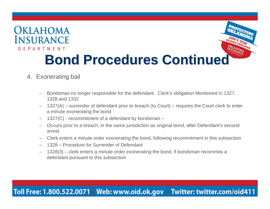

### 4. Exonerating bail

- – Bondsman no longer responsible for the defendant. Clerk's obligation Mentioned in 1327, 1328 and 1332
- – 1327(A) – surrender of defendant prior to breach (to Court) – requires the Court clerk to enter a minute exonerating the bond
- –1327(C) - recommitment of a defendant by bondsman –
- – Occurs prior to a breach, in the same jurisdiction as original bond, after Defendant's second arrest
- –Clerk enters a minute order exonerating the bond, following recommitment in this subsection
- 1328 Procedure for Surrender of Defendant
- – 1328(3) – clerk enters a minute order exonerating the bond, if bondsman recommits a defendant pursuant to this subsection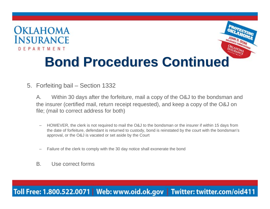

- 5. Forfeiting bail Section 1332
	- A. Within 30 days after the forfeiture, mail a copy of the O&J to the bondsman and the insurer (certified mail, return receipt requested), and keep a copy of the O&J on file; (mail to correct address for both)
		- – HOWEVER, the clerk is not required to mail the O&J to the bondsman or the insurer if within 15 days from the date of forfeiture, defendant is returned to custody, bond is reinstated by the court with the bondsman's approval, or the O&J is vacated or set aside by the Court
		- –Failure of the clerk to comply with the 30 day notice shall exonerate the bond
	- B. Use correct forms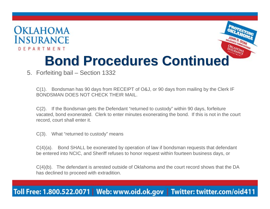



# **Bond Procedures Continued**

5. Forfeiting bail – Section 1332

C(1). Bondsman has 90 days from RECEIPT of O&J, or 90 days from mailing by the Clerk IF BONDSMAN DOES NOT CHECK THEIR MAIL.

C(2). If the Bondsman gets the Defendant "returned to custody" within 90 days, forfeiture vacated, bond exonerated. Clerk to enter minutes exonerating the bond. If this is not in the court record, court shall enter it.

C(3). What "returned to custody" means

C(4)(a). Bond SHALL be exonerated by operation of law if bondsman requests that defendant be entered into NCIC, and Sheriff refuses to honor request within fourteen business days, or

C(4)(b). The defendant is arrested outside of Oklahoma and the court record shows that the DA has declined to proceed with extradition.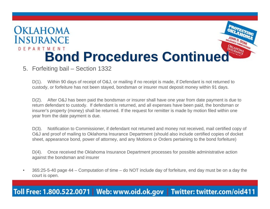

### 5. Forfeiting bail – Section 1332

D(1). Within 90 days of receipt of O&J, or mailing if no receipt is made, if Defendant is not returned to custody, or forfeiture has not been stayed, bondsman or insurer must deposit money within 91 days.

D(2). After O&J has been paid the bondsman or insurer shall have one year from date payment is due to return defendant to custody. If defendant is returned, and all expenses have been paid, the bondsman or insurer's property (money) shall be returned. If the request for remitter is made by motion filed within one year from the date payment is due.

D(3). Notification to Commissioner, if defendant not returned and money not received, mail certified copy of O&J and proof of mailing to Oklahoma Insurance Department (should also include certified copies of docket sheet, appearance bond, power of attorney, and any Motions or Orders pertaining to the bond forfeiture)

D(4). Once received the Oklahoma Insurance Department processes for possible administrative action against the bondsman and insurer

• 365:25-5-40 page 44 – Computation of time – do NOT include day of forfeiture, end day must be on a day the court is open.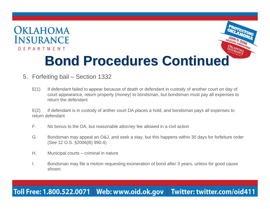



# **Bond Procedures Continued**

- 5. Forfeiting bail Section 1332
	- E(1) If defendant failed to appear because of death or defendant in custody of another court on day of court appearance, return property (money) to bondsman, but bondsman must pay all expenses to return the defendant

E(2) If defendant is in custody of anther court DA places a hold, and bondsman pays all expenses to return defendant

- F. No bonus to the DA, but reasonable attorney fee allowed in a civil action
- G. Bondsman may appeal an O&J, and seek a stay, but this happens within 30 days for forfeiture order (See 12 O.S. §2006(B) 990.4)
- H. Municipal courts criminal in nature
- I. Bondsman may file a motion requesting exoneration of bond after 3 years, unless for good cause shown.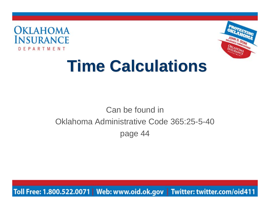



# **Time Calculations**

# Can be found in Oklahoma Administrative Code 365:25-5-40 page 44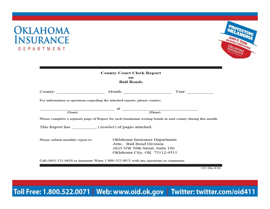



| <b>County Court Clerk Report</b><br>on<br><b>Bail Bonds</b>                  |                                                                                                                              |                                                                                                             |  |  |  |
|------------------------------------------------------------------------------|------------------------------------------------------------------------------------------------------------------------------|-------------------------------------------------------------------------------------------------------------|--|--|--|
|                                                                              |                                                                                                                              | Year:                                                                                                       |  |  |  |
| For information or questions regarding the attached reports, please contact: |                                                                                                                              |                                                                                                             |  |  |  |
| (Name)                                                                       |                                                                                                                              | (Phone)                                                                                                     |  |  |  |
|                                                                              |                                                                                                                              | Please complete a separate page of Report for each bondsman writing bonds in said county during this month. |  |  |  |
|                                                                              |                                                                                                                              |                                                                                                             |  |  |  |
| Please submit monthly report to:                                             | Oklahoma Insurance Department<br>Attn.: Bail Bond Division<br>3625 NW 56th Street, Suite 100<br>Oklahoma City, OK 73112-4511 |                                                                                                             |  |  |  |

Call (405) 521-6610 or intrastate Watts 1-800-522-0071 with any questions or comments.

CC1 (Rev 8/10)